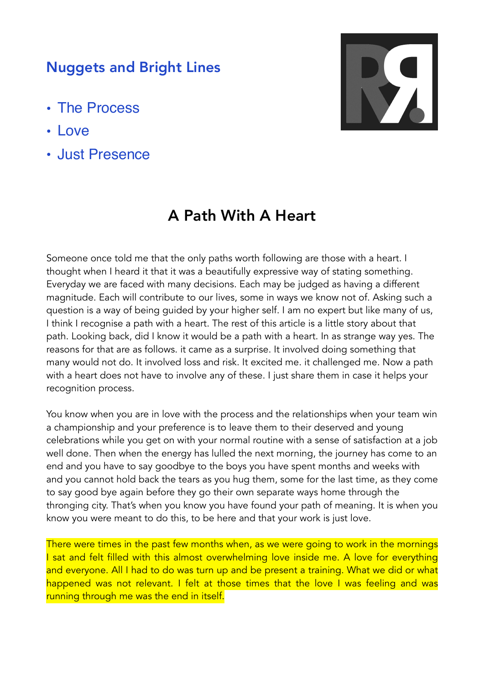## Nuggets and Bright Lines

- The Process
- Love
- Just Presence



## A Path With A Heart

Someone once told me that the only paths worth following are those with a heart. I thought when I heard it that it was a beautifully expressive way of stating something. Everyday we are faced with many decisions. Each may be judged as having a different magnitude. Each will contribute to our lives, some in ways we know not of. Asking such a question is a way of being guided by your higher self. I am no expert but like many of us, I think I recognise a path with a heart. The rest of this article is a little story about that path. Looking back, did I know it would be a path with a heart. In as strange way yes. The reasons for that are as follows. it came as a surprise. It involved doing something that many would not do. It involved loss and risk. It excited me. it challenged me. Now a path with a heart does not have to involve any of these. I just share them in case it helps your recognition process.

You know when you are in love with the process and the relationships when your team win a championship and your preference is to leave them to their deserved and young celebrations while you get on with your normal routine with a sense of satisfaction at a job well done. Then when the energy has lulled the next morning, the journey has come to an end and you have to say goodbye to the boys you have spent months and weeks with and you cannot hold back the tears as you hug them, some for the last time, as they come to say good bye again before they go their own separate ways home through the thronging city. That's when you know you have found your path of meaning. It is when you know you were meant to do this, to be here and that your work is just love.

There were times in the past few months when, as we were going to work in the mornings I sat and felt filled with this almost overwhelming love inside me. A love for everything and everyone. All I had to do was turn up and be present a training. What we did or what happened was not relevant. I felt at those times that the love I was feeling and was running through me was the end in itself.